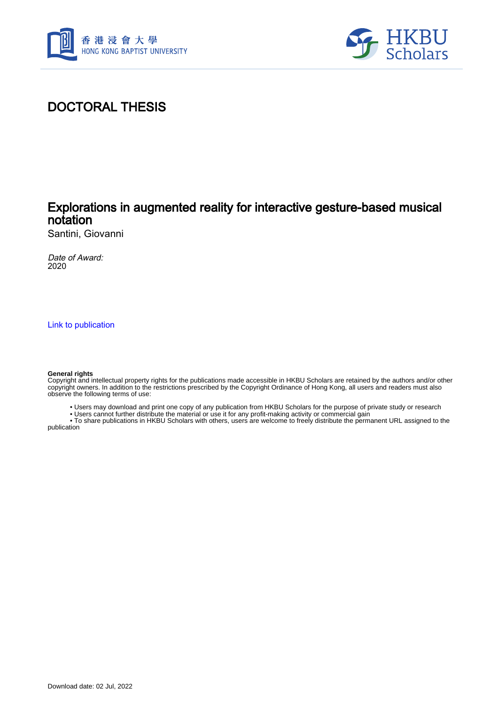



## DOCTORAL THESIS

## Explorations in augmented reality for interactive gesture-based musical notation

Santini, Giovanni

Date of Award: 2020

[Link to publication](https://scholars.hkbu.edu.hk/en/studentTheses/0e904ebd-0a04-4808-95a0-a03793cb9ea0)

#### **General rights**

Copyright and intellectual property rights for the publications made accessible in HKBU Scholars are retained by the authors and/or other copyright owners. In addition to the restrictions prescribed by the Copyright Ordinance of Hong Kong, all users and readers must also observe the following terms of use:

- Users may download and print one copy of any publication from HKBU Scholars for the purpose of private study or research
- Users cannot further distribute the material or use it for any profit-making activity or commercial gain

 • To share publications in HKBU Scholars with others, users are welcome to freely distribute the permanent URL assigned to the publication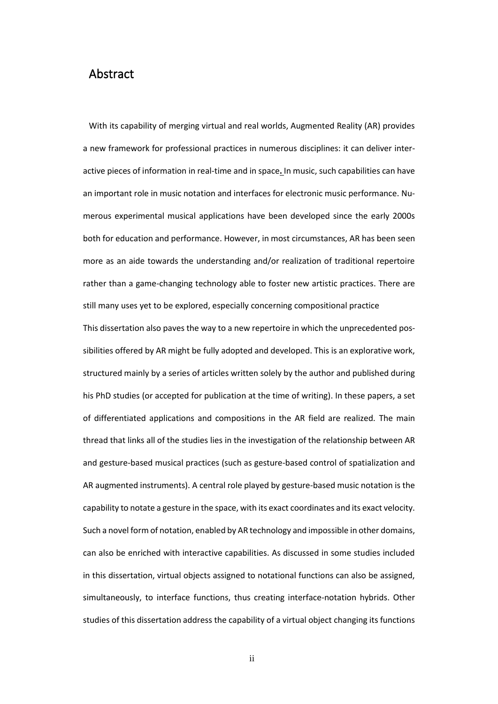### Abstract

With its capability of merging virtual and real worlds, Augmented Reality (AR) provides a new framework for professional practices in numerous disciplines: it can deliver interactive pieces of information in real-time and in space**.** In music, such capabilities can have an important role in music notation and interfaces for electronic music performance. Numerous experimental musical applications have been developed since the early 2000s both for education and performance. However, in most circumstances, AR has been seen more as an aide towards the understanding and/or realization of traditional repertoire rather than a game-changing technology able to foster new artistic practices. There are still many uses yet to be explored, especially concerning compositional practice

This dissertation also paves the way to a new repertoire in which the unprecedented possibilities offered by AR might be fully adopted and developed. This is an explorative work, structured mainly by a series of articles written solely by the author and published during his PhD studies (or accepted for publication at the time of writing). In these papers, a set of differentiated applications and compositions in the AR field are realized*.* The main thread that links all of the studies lies in the investigation of the relationship between AR and gesture-based musical practices (such as gesture-based control of spatialization and AR augmented instruments). A central role played by gesture-based music notation is the capability to notate a gesture in the space, with its exact coordinates and its exact velocity. Such a novel form of notation, enabled by AR technology and impossible in other domains, can also be enriched with interactive capabilities. As discussed in some studies included in this dissertation, virtual objects assigned to notational functions can also be assigned, simultaneously, to interface functions, thus creating interface-notation hybrids. Other studies of this dissertation address the capability of a virtual object changing its functions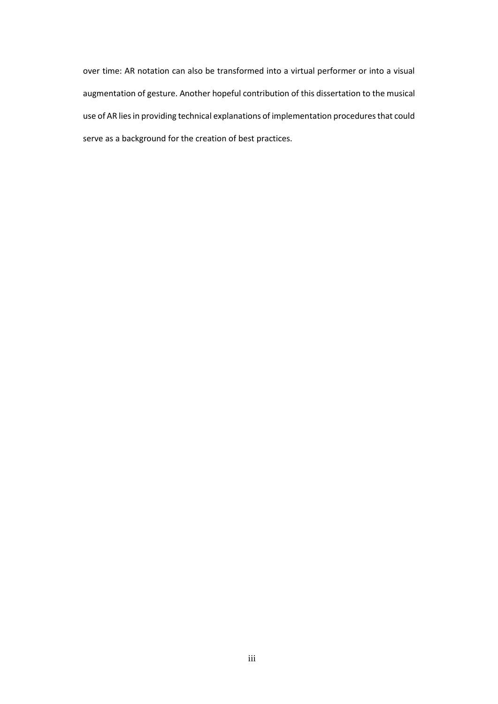over time: AR notation can also be transformed into a virtual performer or into a visual augmentation of gesture. Another hopeful contribution of this dissertation to the musical use of AR lies in providing technical explanations of implementation procedures that could serve as a background for the creation of best practices.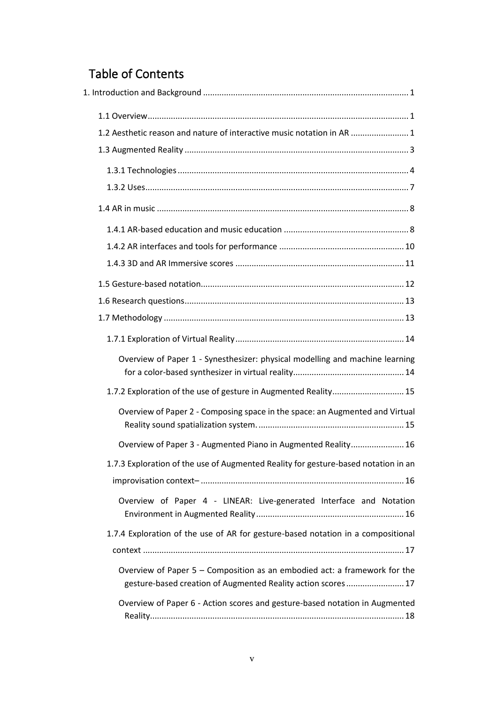# Table of Contents

| 1.2 Aesthetic reason and nature of interactive music notation in AR  1                                                                    |
|-------------------------------------------------------------------------------------------------------------------------------------------|
|                                                                                                                                           |
|                                                                                                                                           |
|                                                                                                                                           |
|                                                                                                                                           |
|                                                                                                                                           |
|                                                                                                                                           |
|                                                                                                                                           |
|                                                                                                                                           |
|                                                                                                                                           |
|                                                                                                                                           |
|                                                                                                                                           |
| Overview of Paper 1 - Synesthesizer: physical modelling and machine learning                                                              |
| 1.7.2 Exploration of the use of gesture in Augmented Reality 15                                                                           |
| Overview of Paper 2 - Composing space in the space: an Augmented and Virtual                                                              |
| Overview of Paper 3 - Augmented Piano in Augmented Reality 16                                                                             |
| 1.7.3 Exploration of the use of Augmented Reality for gesture-based notation in an                                                        |
|                                                                                                                                           |
| Overview of Paper 4 - LINEAR: Live-generated Interface and Notation                                                                       |
| 1.7.4 Exploration of the use of AR for gesture-based notation in a compositional                                                          |
|                                                                                                                                           |
| Overview of Paper 5 - Composition as an embodied act: a framework for the<br>gesture-based creation of Augmented Reality action scores 17 |
| Overview of Paper 6 - Action scores and gesture-based notation in Augmented                                                               |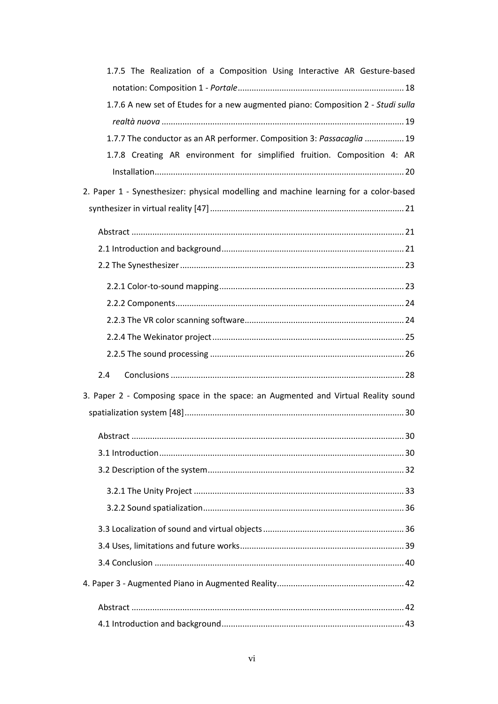| 1.7.5 The Realization of a Composition Using Interactive AR Gesture-based             |
|---------------------------------------------------------------------------------------|
|                                                                                       |
| 1.7.6 A new set of Etudes for a new augmented piano: Composition 2 - Studi sulla      |
|                                                                                       |
| 1.7.7 The conductor as an AR performer. Composition 3: Passacaglia  19                |
| 1.7.8 Creating AR environment for simplified fruition. Composition 4: AR              |
|                                                                                       |
| 2. Paper 1 - Synesthesizer: physical modelling and machine learning for a color-based |
|                                                                                       |
|                                                                                       |
|                                                                                       |
|                                                                                       |
|                                                                                       |
|                                                                                       |
|                                                                                       |
|                                                                                       |
|                                                                                       |
|                                                                                       |
| 2.4                                                                                   |
| 3. Paper 2 - Composing space in the space: an Augmented and Virtual Reality sound     |
|                                                                                       |
|                                                                                       |
|                                                                                       |
|                                                                                       |
|                                                                                       |
|                                                                                       |
|                                                                                       |
|                                                                                       |
|                                                                                       |
|                                                                                       |
|                                                                                       |
|                                                                                       |
|                                                                                       |
|                                                                                       |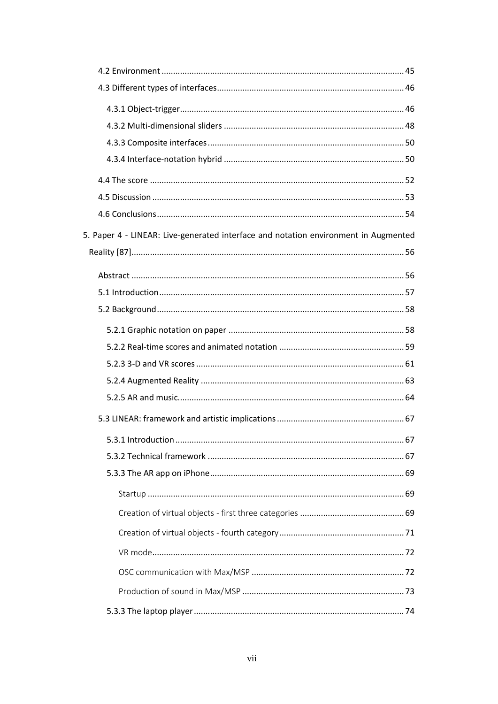| 5. Paper 4 - LINEAR: Live-generated interface and notation environment in Augmented |  |
|-------------------------------------------------------------------------------------|--|
|                                                                                     |  |
|                                                                                     |  |
|                                                                                     |  |
|                                                                                     |  |
|                                                                                     |  |
|                                                                                     |  |
|                                                                                     |  |
|                                                                                     |  |
|                                                                                     |  |
|                                                                                     |  |
|                                                                                     |  |
|                                                                                     |  |
|                                                                                     |  |
|                                                                                     |  |
|                                                                                     |  |
|                                                                                     |  |
|                                                                                     |  |
|                                                                                     |  |
|                                                                                     |  |
|                                                                                     |  |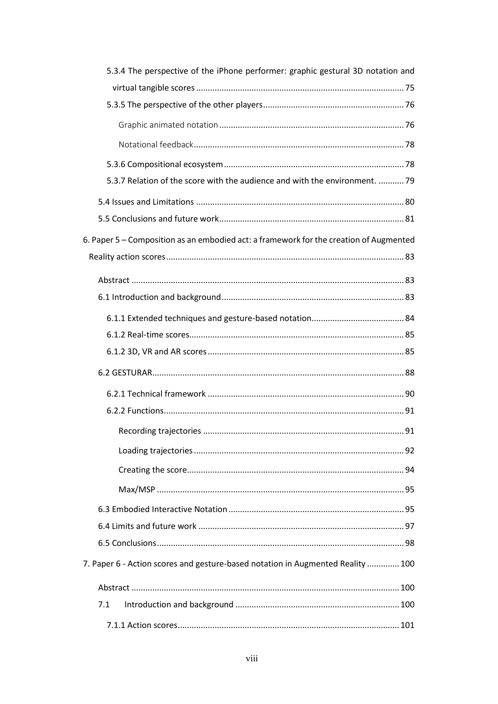| 5.3.4 The perspective of the iPhone performer: graphic gestural 3D notation and        |  |
|----------------------------------------------------------------------------------------|--|
|                                                                                        |  |
|                                                                                        |  |
|                                                                                        |  |
|                                                                                        |  |
|                                                                                        |  |
| 5.3.7 Relation of the score with the audience and with the environment.  79            |  |
|                                                                                        |  |
|                                                                                        |  |
| 6. Paper 5 – Composition as an embodied act: a framework for the creation of Augmented |  |
|                                                                                        |  |
|                                                                                        |  |
|                                                                                        |  |
|                                                                                        |  |
|                                                                                        |  |
|                                                                                        |  |
|                                                                                        |  |
|                                                                                        |  |
|                                                                                        |  |
|                                                                                        |  |
|                                                                                        |  |
|                                                                                        |  |
|                                                                                        |  |
|                                                                                        |  |
|                                                                                        |  |
|                                                                                        |  |
| 7. Paper 6 - Action scores and gesture-based notation in Augmented Reality  100        |  |
|                                                                                        |  |
| 7.1                                                                                    |  |
|                                                                                        |  |
|                                                                                        |  |